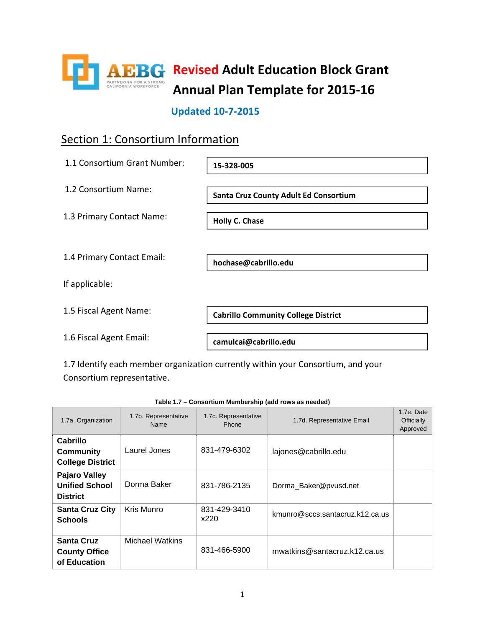

### **Updated 10‐7‐2015**

### Section 1: Consortium Information

| 1.1 Consortium Grant Number: | 15-328-005                                   |
|------------------------------|----------------------------------------------|
| 1.2 Consortium Name:         | <b>Santa Cruz County Adult Ed Consortium</b> |
| 1.3 Primary Contact Name:    | <b>Holly C. Chase</b>                        |
| 1.4 Primary Contact Email:   | hochase@cabrillo.edu                         |
| If applicable:               |                                              |
| 1.5 Fiscal Agent Name:       | <b>Cabrillo Community College District</b>   |
| 1.6 Fiscal Agent Email:      | camulcai@cabrillo.edu                        |

1.7 Identify each member organization currently within your Consortium, and your Consortium representative.

| 1.7a. Organization                                               | 1.7b. Representative<br>Name | 1.7c. Representative<br>Phone | 1.7d. Representative Email      | 1.7e. Date<br><b>Officially</b><br>Approved |
|------------------------------------------------------------------|------------------------------|-------------------------------|---------------------------------|---------------------------------------------|
| Cabrillo<br><b>Community</b><br><b>College District</b>          | Laurel Jones                 | 831-479-6302                  | lajones@cabrillo.edu            |                                             |
| <b>Pajaro Valley</b><br><b>Unified School</b><br><b>District</b> | Dorma Baker                  | 831-786-2135                  | Dorma_Baker@pvusd.net           |                                             |
| <b>Santa Cruz City</b><br><b>Schools</b>                         | Kris Munro                   | 831-429-3410<br>x220          | kmunro@sccs.santacruz.k12.ca.us |                                             |
| <b>Santa Cruz</b><br><b>County Office</b><br>of Education        | <b>Michael Watkins</b>       | 831-466-5900                  | mwatkins@santacruz.k12.ca.us    |                                             |

#### **Table 1.7 – Consortium Membership (add rows as needed)**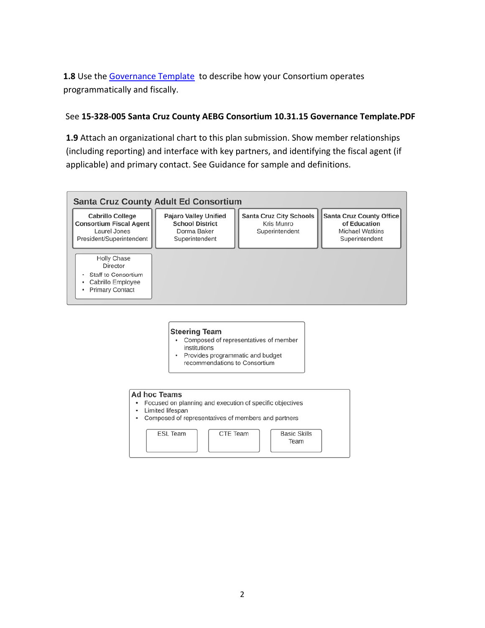1.8 Use the Governance Template to describe how your Consortium operates programmatically and fiscally.

### See **15‐328‐005 Santa Cruz County AEBG Consortium 10.31.15 Governance Template.PDF**

**1.9** Attach an organizational chart to this plan submission. Show member relationships (including reporting) and interface with key partners, and identifying the fiscal agent (if applicable) and primary contact. See Guidance for sample and definitions.



#### **Steering Team**

- Composed of representatives of member institutions
- Provides programmatic and budget  $\bullet$ recommendations to Consortium

#### **Ad hoc Teams**

- Focused on planning and execution of specific objectives
- Limited lifespan
- Composed of representatives of members and partners  $\bullet$

| <b>ESL Team</b> | CTE Team | <b>Basic Skills</b><br>Team |
|-----------------|----------|-----------------------------|
|                 |          |                             |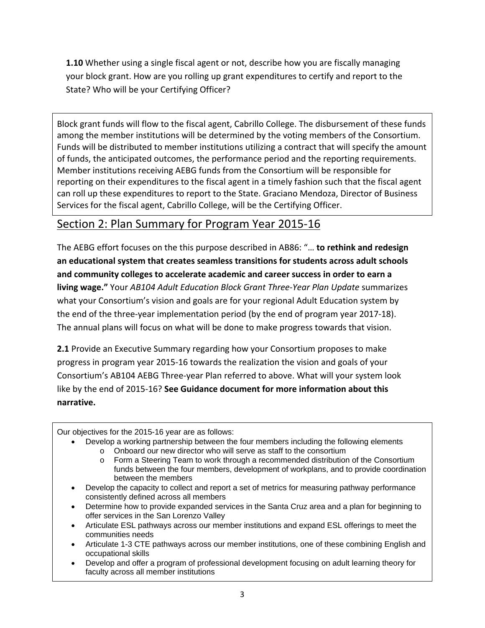**1.10** Whether using a single fiscal agent or not, describe how you are fiscally managing your block grant. How are you rolling up grant expenditures to certify and report to the State? Who will be your Certifying Officer?

Block grant funds will flow to the fiscal agent, Cabrillo College. The disbursement of these funds among the member institutions will be determined by the voting members of the Consortium. Funds will be distributed to member institutions utilizing a contract that will specify the amount of funds, the anticipated outcomes, the performance period and the reporting requirements. Member institutions receiving AEBG funds from the Consortium will be responsible for reporting on their expenditures to the fiscal agent in a timely fashion such that the fiscal agent can roll up these expenditures to report to the State. Graciano Mendoza, Director of Business Services for the fiscal agent, Cabrillo College, will be the Certifying Officer.

### Section 2: Plan Summary for Program Year 2015‐16

The AEBG effort focuses on the this purpose described in AB86: "… **to rethink and redesign an educational system that creates seamless transitions for students across adult schools and community colleges to accelerate academic and career success in order to earn a living wage."** Your *AB104 Adult Education Block Grant Three‐Year Plan Update* summarizes what your Consortium's vision and goals are for your regional Adult Education system by the end of the three‐year implementation period (by the end of program year 2017‐18). The annual plans will focus on what will be done to make progress towards that vision.

**2.1** Provide an Executive Summary regarding how your Consortium proposes to make progress in program year 2015‐16 towards the realization the vision and goals of your Consortium's AB104 AEBG Three‐year Plan referred to above. What will your system look like by the end of 2015‐16? **See Guidance document for more information about this narrative.**

Our objectives for the 2015-16 year are as follows:

- Develop a working partnership between the four members including the following elements
	- o Onboard our new director who will serve as staff to the consortium<br>
	o Form a Steering Team to work through a recommended distribution
	- Form a Steering Team to work through a recommended distribution of the Consortium funds between the four members, development of workplans, and to provide coordination between the members
- Develop the capacity to collect and report a set of metrics for measuring pathway performance consistently defined across all members
- Determine how to provide expanded services in the Santa Cruz area and a plan for beginning to offer services in the San Lorenzo Valley
- Articulate ESL pathways across our member institutions and expand ESL offerings to meet the communities needs
- Articulate 1-3 CTE pathways across our member institutions, one of these combining English and occupational skills
- Develop and offer a program of professional development focusing on adult learning theory for faculty across all member institutions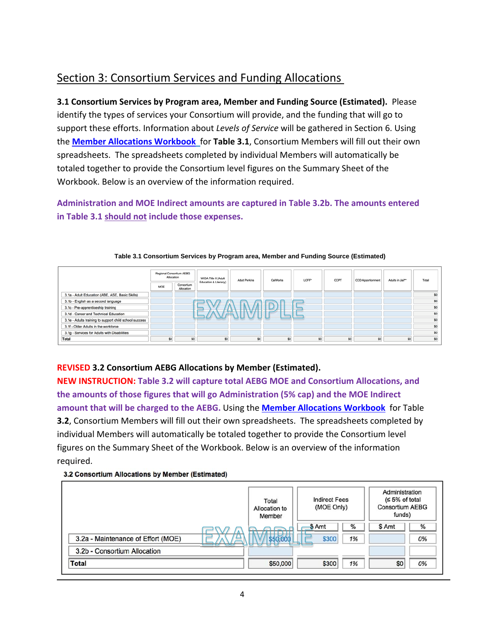## Section 3: Consortium Services and Funding Allocations

**3.1 Consortium Services by Program area, Member and Funding Source (Estimated).** Please identify the types of services your Consortium will provide, and the funding that will go to support these efforts. Information about *Levels of Service* will be gathered in Section 6. Using the **Member Allocations Workbook** for **Table 3.1**, Consortium Members will fill out their own spreadsheets. The spreadsheets completed by individual Members will automatically be totaled together to provide the Consortium level figures on the Summary Sheet of the Workbook. Below is an overview of the information required.

**Administration and MOE Indirect amounts are captured in Table 3.2b. The amounts entered in Table 3.1 should not include those expenses.** 



### **Table 3.1 Consortium Services by Program area, Member and Funding Source (Estimated)**

### **REVISED 3.2 Consortium AEBG Allocations by Member (Estimated).**

**NEW INSTRUCTION: Table 3.2 will capture total AEBG MOE and Consortium Allocations, and the amounts of those figures that will go Administration (5% cap) and the MOE Indirect amount that will be charged to the AEBG.** Using the **Member Allocations Workbook** for Table **3.2**, Consortium Members will fill out their own spreadsheets. The spreadsheets completed by individual Members will automatically be totaled together to provide the Consortium level figures on the Summary Sheet of the Workbook. Below is an overview of the information required.

### 3.2 Consortium Allocations by Member (Estimated)

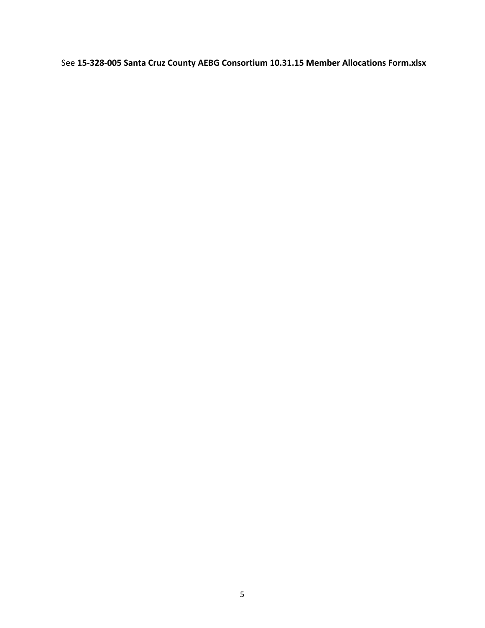See **15‐328‐005 Santa Cruz County AEBG Consortium 10.31.15 Member Allocations Form.xlsx**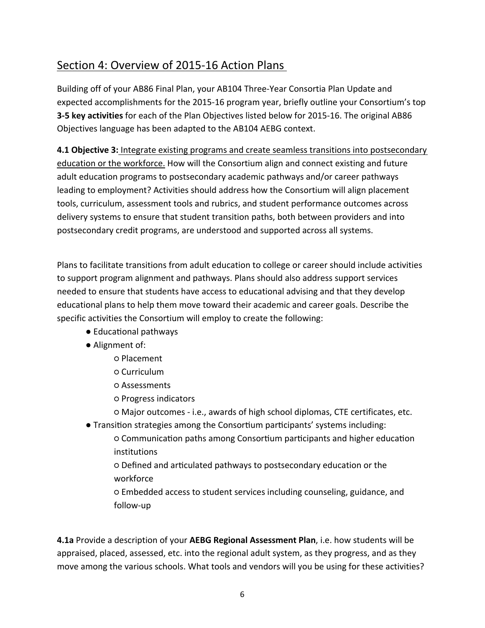### Section 4: Overview of 2015‐16 Action Plans

Building off of your AB86 Final Plan, your AB104 Three‐Year Consortia Plan Update and expected accomplishments for the 2015‐16 program year, briefly outline your Consortium's top **3‐5 key activities** for each of the Plan Objectives listed below for 2015‐16. The original AB86 Objectives language has been adapted to the AB104 AEBG context.

**4.1 Objective 3:** Integrate existing programs and create seamless transitions into postsecondary education or the workforce. How will the Consortium align and connect existing and future adult education programs to postsecondary academic pathways and/or career pathways leading to employment? Activities should address how the Consortium will align placement tools, curriculum, assessment tools and rubrics, and student performance outcomes across delivery systems to ensure that student transition paths, both between providers and into postsecondary credit programs, are understood and supported across all systems.

Plans to facilitate transitions from adult education to college or career should include activities to support program alignment and pathways. Plans should also address support services needed to ensure that students have access to educational advising and that they develop educational plans to help them move toward their academic and career goals. Describe the specific activities the Consortium will employ to create the following:

- Educational pathways
- Alignment of:
	- Placement
	- Curriculum
	- Assessments
	- Progress indicators
	- Major outcomes ‐ i.e., awards of high school diplomas, CTE certificates, etc.
- Transition strategies among the Consortium participants' systems including:
	- $\circ$  Communication paths among Consortium participants and higher education institutions
	- Defined and arƟculated pathways to postsecondary education or the workforce
	- Embedded access to student services including counseling, guidance, and follow‐up

**4.1a** Provide a description of your **AEBG Regional Assessment Plan**, i.e. how students will be appraised, placed, assessed, etc. into the regional adult system, as they progress, and as they move among the various schools. What tools and vendors will you be using for these activities?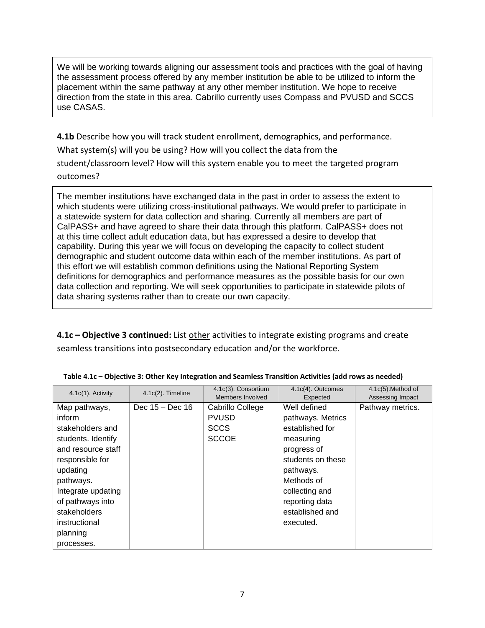We will be working towards aligning our assessment tools and practices with the goal of having the assessment process offered by any member institution be able to be utilized to inform the placement within the same pathway at any other member institution. We hope to receive direction from the state in this area. Cabrillo currently uses Compass and PVUSD and SCCS use CASAS.

**4.1b** Describe how you will track student enrollment, demographics, and performance. What system(s) will you be using? How will you collect the data from the student/classroom level? How will this system enable you to meet the targeted program outcomes?

The member institutions have exchanged data in the past in order to assess the extent to which students were utilizing cross-institutional pathways. We would prefer to participate in a statewide system for data collection and sharing. Currently all members are part of CalPASS+ and have agreed to share their data through this platform. CalPASS+ does not at this time collect adult education data, but has expressed a desire to develop that capability. During this year we will focus on developing the capacity to collect student demographic and student outcome data within each of the member institutions. As part of this effort we will establish common definitions using the National Reporting System definitions for demographics and performance measures as the possible basis for our own data collection and reporting. We will seek opportunities to participate in statewide pilots of data sharing systems rather than to create our own capacity.

**4.1c** – **Objective 3 continued:** List other activities to integrate existing programs and create seamless transitions into postsecondary education and/or the workforce.

| $4.1c(1)$ . Activity | $4.1c(2)$ . Timeline | 4.1c(3). Consortium<br>Members Involved | 4.1c(4). Outcomes<br>Expected | 4.1c(5). Method of<br>Assessing Impact |
|----------------------|----------------------|-----------------------------------------|-------------------------------|----------------------------------------|
| Map pathways,        | Dec $15 - Dec 16$    | Cabrillo College                        | Well defined                  | Pathway metrics.                       |
| inform               |                      | <b>PVUSD</b>                            | pathways. Metrics             |                                        |
| stakeholders and     |                      | <b>SCCS</b>                             | established for               |                                        |
| students. Identify   |                      | <b>SCCOE</b>                            | measuring                     |                                        |
| and resource staff   |                      |                                         | progress of                   |                                        |
| responsible for      |                      |                                         | students on these             |                                        |
| updating             |                      |                                         | pathways.                     |                                        |
| pathways.            |                      |                                         | Methods of                    |                                        |
| Integrate updating   |                      |                                         | collecting and                |                                        |
| of pathways into     |                      |                                         | reporting data                |                                        |
| stakeholders         |                      |                                         | established and               |                                        |
| instructional        |                      |                                         | executed.                     |                                        |
| planning             |                      |                                         |                               |                                        |
| processes.           |                      |                                         |                               |                                        |

|  | Table 4.1c - Objective 3: Other Key Integration and Seamless Transition Activities (add rows as needed) |  |
|--|---------------------------------------------------------------------------------------------------------|--|
|--|---------------------------------------------------------------------------------------------------------|--|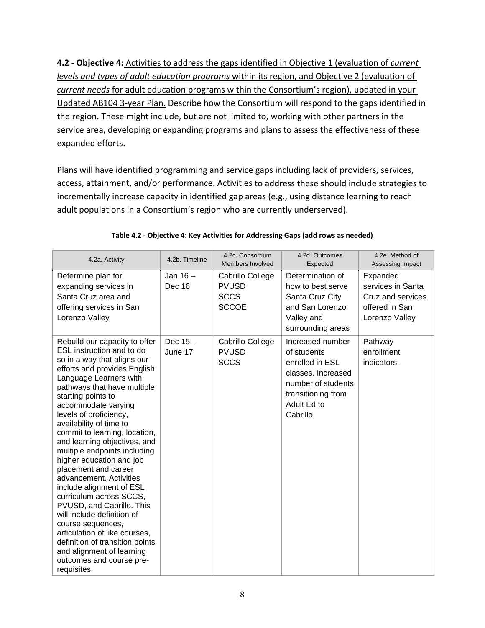**4.2** ‐ **Objective 4:** Activities to address the gaps identified in Objective 1 (evaluation of *current levels and types of adult education programs* within its region, and Objective 2 (evaluation of *current needs* for adult education programs within the Consortium's region), updated in your Updated AB104 3‐year Plan. Describe how the Consortium will respond to the gaps identified in the region. These might include, but are not limited to, working with other partners in the service area, developing or expanding programs and plans to assess the effectiveness of these expanded efforts.

Plans will have identified programming and service gaps including lack of providers, services, access, attainment, and/or performance. Activities to address these should include strategies to incrementally increase capacity in identified gap areas (e.g., using distance learning to reach adult populations in a Consortium's region who are currently underserved).

| 4.2a. Activity                                                                                                                                                                                                                                                                                                                                                                                                                                                                                                                                                                                                                                                                                                                                          | 4.2b. Timeline        | 4.2c. Consortium<br>Members Involved                            | 4.2d. Outcomes<br>Expected                                                                                                                       | 4.2e. Method of<br>Assessing Impact                                                    |
|---------------------------------------------------------------------------------------------------------------------------------------------------------------------------------------------------------------------------------------------------------------------------------------------------------------------------------------------------------------------------------------------------------------------------------------------------------------------------------------------------------------------------------------------------------------------------------------------------------------------------------------------------------------------------------------------------------------------------------------------------------|-----------------------|-----------------------------------------------------------------|--------------------------------------------------------------------------------------------------------------------------------------------------|----------------------------------------------------------------------------------------|
| Determine plan for<br>expanding services in<br>Santa Cruz area and<br>offering services in San<br>Lorenzo Valley                                                                                                                                                                                                                                                                                                                                                                                                                                                                                                                                                                                                                                        | Jan $16-$<br>Dec 16   | Cabrillo College<br><b>PVUSD</b><br><b>SCCS</b><br><b>SCCOE</b> | Determination of<br>how to best serve<br>Santa Cruz City<br>and San Lorenzo<br>Valley and<br>surrounding areas                                   | Expanded<br>services in Santa<br>Cruz and services<br>offered in San<br>Lorenzo Valley |
| Rebuild our capacity to offer<br>ESL instruction and to do<br>so in a way that aligns our<br>efforts and provides English<br>Language Learners with<br>pathways that have multiple<br>starting points to<br>accommodate varying<br>levels of proficiency,<br>availability of time to<br>commit to learning, location,<br>and learning objectives, and<br>multiple endpoints including<br>higher education and job<br>placement and career<br>advancement. Activities<br>include alignment of ESL<br>curriculum across SCCS,<br>PVUSD, and Cabrillo. This<br>will include definition of<br>course sequences,<br>articulation of like courses,<br>definition of transition points<br>and alignment of learning<br>outcomes and course pre-<br>requisites. | Dec $15 -$<br>June 17 | Cabrillo College<br><b>PVUSD</b><br><b>SCCS</b>                 | Increased number<br>of students<br>enrolled in ESL<br>classes. Increased<br>number of students<br>transitioning from<br>Adult Ed to<br>Cabrillo. | Pathway<br>enrollment<br>indicators.                                                   |

|  |  | Table 4.2 - Objective 4: Key Activities for Addressing Gaps (add rows as needed) |
|--|--|----------------------------------------------------------------------------------|
|--|--|----------------------------------------------------------------------------------|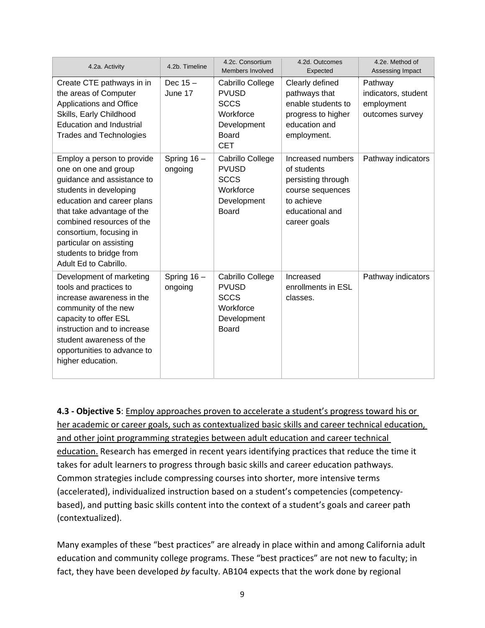| 4.2a. Activity                                                                                                                                                                                                                                                                                                | 4.2b. Timeline           | 4.2c. Consortium<br>Members Involved                                                               | 4.2d. Outcomes<br>Expected                                                                                                  | 4.2e. Method of<br>Assessing Impact                             |
|---------------------------------------------------------------------------------------------------------------------------------------------------------------------------------------------------------------------------------------------------------------------------------------------------------------|--------------------------|----------------------------------------------------------------------------------------------------|-----------------------------------------------------------------------------------------------------------------------------|-----------------------------------------------------------------|
| Create CTE pathways in in<br>the areas of Computer<br>Applications and Office<br>Skills, Early Childhood<br><b>Education and Industrial</b><br><b>Trades and Technologies</b>                                                                                                                                 | Dec $15 -$<br>June 17    | Cabrillo College<br><b>PVUSD</b><br><b>SCCS</b><br>Workforce<br>Development<br>Board<br><b>CET</b> | Clearly defined<br>pathways that<br>enable students to<br>progress to higher<br>education and<br>employment.                | Pathway<br>indicators, student<br>employment<br>outcomes survey |
| Employ a person to provide<br>one on one and group<br>guidance and assistance to<br>students in developing<br>education and career plans<br>that take advantage of the<br>combined resources of the<br>consortium, focusing in<br>particular on assisting<br>students to bridge from<br>Adult Ed to Cabrillo. | Spring $16 -$<br>ongoing | Cabrillo College<br><b>PVUSD</b><br><b>SCCS</b><br>Workforce<br>Development<br>Board               | Increased numbers<br>of students<br>persisting through<br>course sequences<br>to achieve<br>educational and<br>career goals | Pathway indicators                                              |
| Development of marketing<br>tools and practices to<br>increase awareness in the<br>community of the new<br>capacity to offer ESL<br>instruction and to increase<br>student awareness of the<br>opportunities to advance to<br>higher education.                                                               | Spring 16-<br>ongoing    | Cabrillo College<br><b>PVUSD</b><br><b>SCCS</b><br>Workforce<br>Development<br><b>Board</b>        | Increased<br>enrollments in ESL<br>classes.                                                                                 | Pathway indicators                                              |

**4.3 ‐ Objective 5**: Employ approaches proven to accelerate a student's progress toward his or her academic or career goals, such as contextualized basic skills and career technical education, and other joint programming strategies between adult education and career technical education. Research has emerged in recent years identifying practices that reduce the time it takes for adult learners to progress through basic skills and career education pathways. Common strategies include compressing courses into shorter, more intensive terms (accelerated), individualized instruction based on a student's competencies (competency‐ based), and putting basic skills content into the context of a student's goals and career path (contextualized).

Many examples of these "best practices" are already in place within and among California adult education and community college programs. These "best practices" are not new to faculty; in fact, they have been developed *by* faculty. AB104 expects that the work done by regional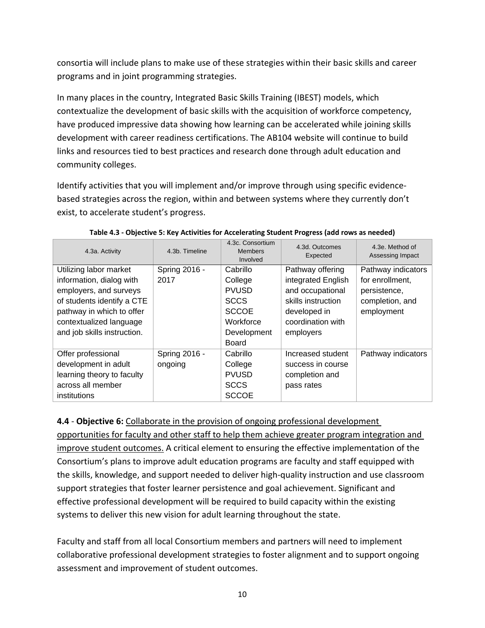consortia will include plans to make use of these strategies within their basic skills and career programs and in joint programming strategies.

In many places in the country, Integrated Basic Skills Training (IBEST) models, which contextualize the development of basic skills with the acquisition of workforce competency, have produced impressive data showing how learning can be accelerated while joining skills development with career readiness certifications. The AB104 website will continue to build links and resources tied to best practices and research done through adult education and community colleges.

Identify activities that you will implement and/or improve through using specific evidence‐ based strategies across the region, within and between systems where they currently don't exist, to accelerate student's progress.

| 4.3a. Activity                                                                                                                                                                                    | 4.3b. Timeline           | 4.3c. Consortium<br><b>Members</b><br>Involved                                                 | 4.3d. Outcomes<br>Expected                                                                                                         | 4.3e. Method of<br>Assessing Impact                                                    |
|---------------------------------------------------------------------------------------------------------------------------------------------------------------------------------------------------|--------------------------|------------------------------------------------------------------------------------------------|------------------------------------------------------------------------------------------------------------------------------------|----------------------------------------------------------------------------------------|
| Utilizing labor market<br>information, dialog with<br>employers, and surveys<br>of students identify a CTE<br>pathway in which to offer<br>contextualized language<br>and job skills instruction. | Spring 2016 -<br>2017    | Cabrillo<br>College<br><b>PVUSD</b><br><b>SCCS</b><br><b>SCCOE</b><br>Workforce<br>Development | Pathway offering<br>integrated English<br>and occupational<br>skills instruction<br>developed in<br>coordination with<br>employers | Pathway indicators<br>for enrollment,<br>persistence,<br>completion, and<br>employment |
| Offer professional<br>development in adult<br>learning theory to faculty<br>across all member<br>institutions                                                                                     | Spring 2016 -<br>ongoing | Board<br>Cabrillo<br>College<br><b>PVUSD</b><br><b>SCCS</b><br><b>SCCOE</b>                    | Increased student<br>success in course<br>completion and<br>pass rates                                                             | Pathway indicators                                                                     |

|  | Table 4.3 - Objective 5: Key Activities for Accelerating Student Progress (add rows as needed) |
|--|------------------------------------------------------------------------------------------------|
|--|------------------------------------------------------------------------------------------------|

**4.4** ‐ **Objective 6:** Collaborate in the provision of ongoing professional development

opportunities for faculty and other staff to help them achieve greater program integration and improve student outcomes. A critical element to ensuring the effective implementation of the Consortium's plans to improve adult education programs are faculty and staff equipped with the skills, knowledge, and support needed to deliver high‐quality instruction and use classroom support strategies that foster learner persistence and goal achievement. Significant and effective professional development will be required to build capacity within the existing systems to deliver this new vision for adult learning throughout the state.

Faculty and staff from all local Consortium members and partners will need to implement collaborative professional development strategies to foster alignment and to support ongoing assessment and improvement of student outcomes.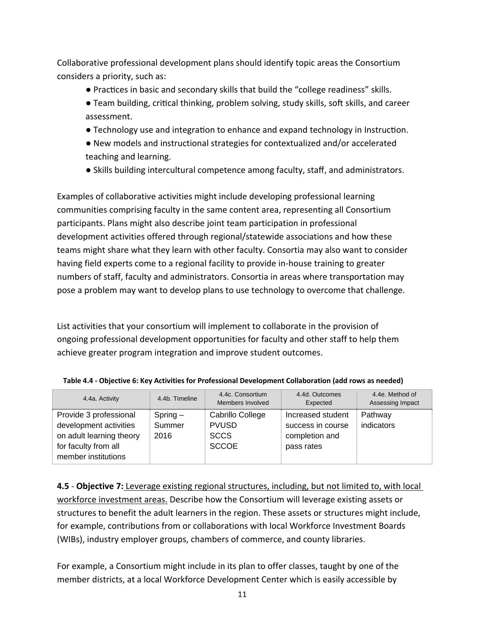Collaborative professional development plans should identify topic areas the Consortium considers a priority, such as:

- Practices in basic and secondary skills that build the "college readiness" skills.
- Team building, critical thinking, problem solving, study skills, soft skills, and career assessment.
- Technology use and integration to enhance and expand technology in Instruction.
- New models and instructional strategies for contextualized and/or accelerated teaching and learning.
- Skills building intercultural competence among faculty, staff, and administrators.

Examples of collaborative activities might include developing professional learning communities comprising faculty in the same content area, representing all Consortium participants. Plans might also describe joint team participation in professional development activities offered through regional/statewide associations and how these teams might share what they learn with other faculty. Consortia may also want to consider having field experts come to a regional facility to provide in‐house training to greater numbers of staff, faculty and administrators. Consortia in areas where transportation may pose a problem may want to develop plans to use technology to overcome that challenge.

List activities that your consortium will implement to collaborate in the provision of ongoing professional development opportunities for faculty and other staff to help them achieve greater program integration and improve student outcomes.

| 4.4a. Activity                                                                                                              | 4.4b. Timeline               | 4.4c. Consortium<br>Members Involved                            | 4.4d. Outcomes<br>Expected                                             | 4.4e. Method of<br>Assessing Impact |
|-----------------------------------------------------------------------------------------------------------------------------|------------------------------|-----------------------------------------------------------------|------------------------------------------------------------------------|-------------------------------------|
| Provide 3 professional<br>development activities<br>on adult learning theory<br>for faculty from all<br>member institutions | $Spring -$<br>Summer<br>2016 | Cabrillo College<br><b>PVUSD</b><br><b>SCCS</b><br><b>SCCOE</b> | Increased student<br>success in course<br>completion and<br>pass rates | Pathway<br>indicators               |

| Table 4.4 - Objective 6: Key Activities for Professional Development Collaboration (add rows as needed) |  |  |
|---------------------------------------------------------------------------------------------------------|--|--|
|---------------------------------------------------------------------------------------------------------|--|--|

**4.5** ‐ **Objective 7:** Leverage existing regional structures, including, but not limited to, with local workforce investment areas. Describe how the Consortium will leverage existing assets or structures to benefit the adult learners in the region. These assets or structures might include, for example, contributions from or collaborations with local Workforce Investment Boards (WIBs), industry employer groups, chambers of commerce, and county libraries.

For example, a Consortium might include in its plan to offer classes, taught by one of the member districts, at a local Workforce Development Center which is easily accessible by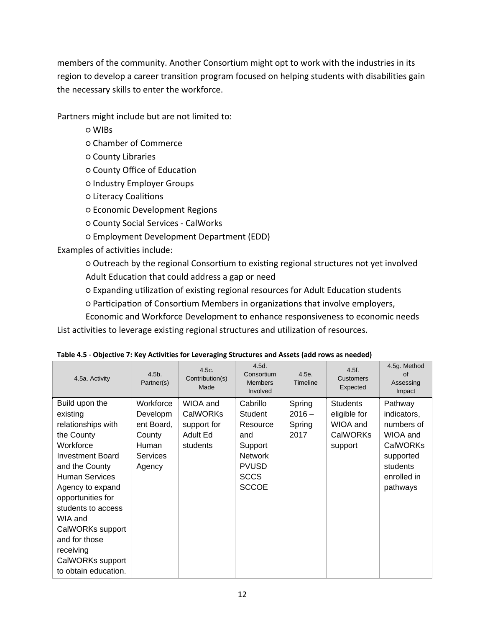members of the community. Another Consortium might opt to work with the industries in its region to develop a career transition program focused on helping students with disabilities gain the necessary skills to enter the workforce.

Partners might include but are not limited to:

○ WIBs

- Chamber of Commerce
- County Libraries
- County Office of EducaƟon
- Industry Employer Groups
- Literacy CoaliƟons
- Economic Development Regions
- County Social Services ‐ CalWorks
- Employment Development Department (EDD)

Examples of activities include:

 $\circ$  Outreach by the regional Consortium to existing regional structures not yet involved Adult Education that could address a gap or need

 $\circ$  Expanding utilization of existing regional resources for Adult Education students

o Participation of Consortium Members in organizations that involve employers,

Economic and Workforce Development to enhance responsiveness to economic needs List activities to leverage existing regional structures and utilization of resources.

| 4.5a. Activity                                                                                                                                                                                                                                                                                                            | $4.5b$ .<br>Partner(s)                                                       | 4.5c.<br>Contribution(s)<br>Made                                   | 4.5d.<br>Consortium<br><b>Members</b><br>Involved                                                                  | 4.5e.<br>Timeline                    | $4.5f$ .<br>Customers<br>Expected                                         | 4.5g. Method<br>of<br>Assessing<br>Impact                                                                               |
|---------------------------------------------------------------------------------------------------------------------------------------------------------------------------------------------------------------------------------------------------------------------------------------------------------------------------|------------------------------------------------------------------------------|--------------------------------------------------------------------|--------------------------------------------------------------------------------------------------------------------|--------------------------------------|---------------------------------------------------------------------------|-------------------------------------------------------------------------------------------------------------------------|
| Build upon the<br>existing<br>relationships with<br>the County<br>Workforce<br><b>Investment Board</b><br>and the County<br><b>Human Services</b><br>Agency to expand<br>opportunities for<br>students to access<br>WIA and<br>CalWORKs support<br>and for those<br>receiving<br>CalWORKs support<br>to obtain education. | Workforce<br>Developm<br>ent Board,<br>County<br>Human<br>Services<br>Agency | WIOA and<br><b>CalWORKs</b><br>support for<br>Adult Ed<br>students | Cabrillo<br>Student<br>Resource<br>and<br>Support<br><b>Network</b><br><b>PVUSD</b><br><b>SCCS</b><br><b>SCCOE</b> | Spring<br>$2016 -$<br>Spring<br>2017 | <b>Students</b><br>eligible for<br>WIOA and<br><b>CalWORKs</b><br>support | Pathway<br>indicators,<br>numbers of<br>WIOA and<br><b>CalWORKs</b><br>supported<br>students<br>enrolled in<br>pathways |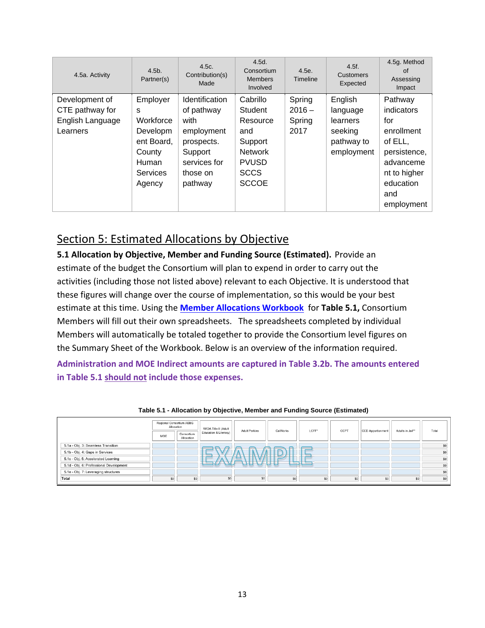| 4.5a. Activity                                                    | $4.5b$ .<br>Partner(s)                                                                               | 4.5c.<br>Contribution(s)<br>Made                                                                                   | 4.5d.<br>Consortium<br><b>Members</b><br>Involved                                                                  | 4.5e.<br>Timeline                    | 4.5f.<br><b>Customers</b><br>Expected                                  | 4.5g. Method<br>of<br>Assessing<br>Impact                                                                                            |
|-------------------------------------------------------------------|------------------------------------------------------------------------------------------------------|--------------------------------------------------------------------------------------------------------------------|--------------------------------------------------------------------------------------------------------------------|--------------------------------------|------------------------------------------------------------------------|--------------------------------------------------------------------------------------------------------------------------------------|
| Development of<br>CTE pathway for<br>English Language<br>Learners | Employer<br>s<br>Workforce<br>Developm<br>ent Board,<br>County<br><b>Human</b><br>Services<br>Agency | Identification<br>of pathway<br>with<br>employment<br>prospects.<br>Support<br>services for<br>those on<br>pathway | Cabrillo<br>Student<br>Resource<br>and<br>Support<br><b>Network</b><br><b>PVUSD</b><br><b>SCCS</b><br><b>SCCOE</b> | Spring<br>$2016 -$<br>Spring<br>2017 | English<br>language<br>learners<br>seeking<br>pathway to<br>employment | Pathway<br>indicators<br>for<br>enrollment<br>of ELL,<br>persistence,<br>advanceme<br>nt to higher<br>education<br>and<br>employment |

### Section 5: Estimated Allocations by Objective

**5.1 Allocation by Objective, Member and Funding Source (Estimated).** Provide an estimate of the budget the Consortium will plan to expend in order to carry out the activities (including those not listed above) relevant to each Objective. It is understood that these figures will change over the course of implementation, so this would be your best estimate at this time. Using the **Member Allocations Workbook** for **Table 5.1,** Consortium Members will fill out their own spreadsheets. The spreadsheets completed by individual Members will automatically be totaled together to provide the Consortium level figures on the Summary Sheet of the Workbook. Below is an overview of the information required.

**Administration and MOE Indirect amounts are captured in Table 3.2b. The amounts entered in Table 5.1 should not include those expenses.** 

|                                         | Regional Consortium AEBG<br>Allocation |                          | WIOA Title II (Adult  | <b>Adult Perkins</b> | CalWorks | LCFF*  | CCPT | CCD Apportionment | Adults in Jail** | Total |
|-----------------------------------------|----------------------------------------|--------------------------|-----------------------|----------------------|----------|--------|------|-------------------|------------------|-------|
|                                         | <b>MOE</b>                             | Consortium<br>Allocation | Education & Literacy) |                      |          |        |      |                   |                  |       |
| 5.1a - Obj. 3: Seamless Transition      |                                        |                          | -                     |                      |          |        |      |                   |                  | \$0   |
| 5.1b - Obj. 4: Gaps in Services         |                                        |                          |                       |                      |          |        |      |                   |                  | \$0   |
| 5.1c - Obj. 5: Accelerated Learning     |                                        |                          | $\sim$                |                      |          | $\sim$ |      |                   |                  | \$0   |
| 5.1d - Obj. 6: Professional Development |                                        |                          |                       |                      | $-$      |        |      |                   |                  | \$0   |
| 5.1e - Obj. 7: Leveraging structures    |                                        |                          |                       |                      |          |        |      |                   |                  | \$0   |
| Total                                   | \$0                                    | \$0                      | \$0                   | \$0                  | \$0      | \$0    | \$0  | \$0               | \$0              | \$0   |

#### **Table 5.1 - Allocation by Objective, Member and Funding Source (Estimated)**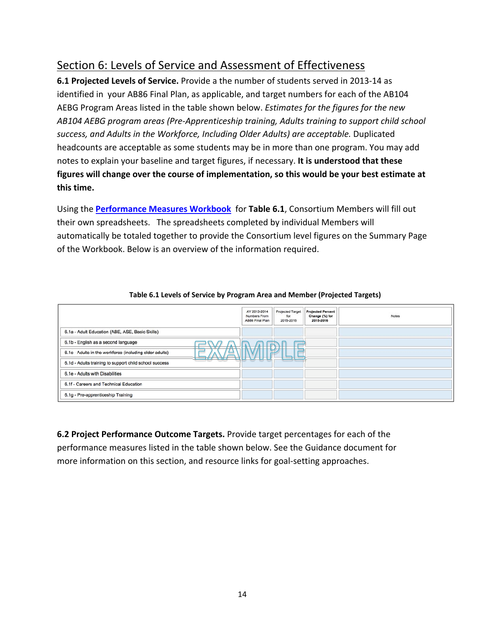## Section 6: Levels of Service and Assessment of Effectiveness

**6.1 Projected Levels of Service.** Provide a the number of students served in 2013‐14 as identified in your AB86 Final Plan, as applicable, and target numbers for each of the AB104 AEBG Program Areas listed in the table shown below. *Estimates for the figures for the new AB104 AEBG program areas (Pre‐Apprenticeship training, Adults training to support child school success, and Adults in the Workforce, Including Older Adults) are acceptable.* Duplicated headcounts are acceptable as some students may be in more than one program. You may add notes to explain your baseline and target figures, if necessary. **It is understood that these figures will change over the course of implementation, so this would be your best estimate at this time.**

Using the **Performance Measures Workbook** for **Table 6.1**, Consortium Members will fill out their own spreadsheets. The spreadsheets completed by individual Members will automatically be totaled together to provide the Consortium level figures on the Summary Page of the Workbook. Below is an overview of the information required.

|                                                                          | AY 2013-2014<br>Numbers From<br>AB86 Final Plan | Projected Target<br>for<br>2015-2016 | <b>Projected Percent</b><br>Change (%) for<br>2015-2016 | <b>Notes</b> |
|--------------------------------------------------------------------------|-------------------------------------------------|--------------------------------------|---------------------------------------------------------|--------------|
| 6.1a - Adult Education (ABE, ASE, Basic Skills)                          |                                                 |                                      |                                                         |              |
| 6.1b - English as a second language<br>$\sim$                            |                                                 |                                      |                                                         |              |
| 6.1c - Adults in the workforce (including older adults)<br>$\rightarrow$ |                                                 |                                      |                                                         |              |
| 6.1d - Adults training to support child school success                   |                                                 |                                      |                                                         |              |
| 6.1e - Adults with Disabilities                                          |                                                 |                                      |                                                         |              |
| 6.1f - Careers and Technical Education                                   |                                                 |                                      |                                                         |              |
| 6.1g - Pre-apprenticeship Training                                       |                                                 |                                      |                                                         |              |

### **Table 6.1 Levels of Service by Program Area and Member (Projected Targets)**

**6.2 Project Performance Outcome Targets.** Provide target percentages for each of the performance measures listed in the table shown below. See the Guidance document for more information on this section, and resource links for goal‐setting approaches.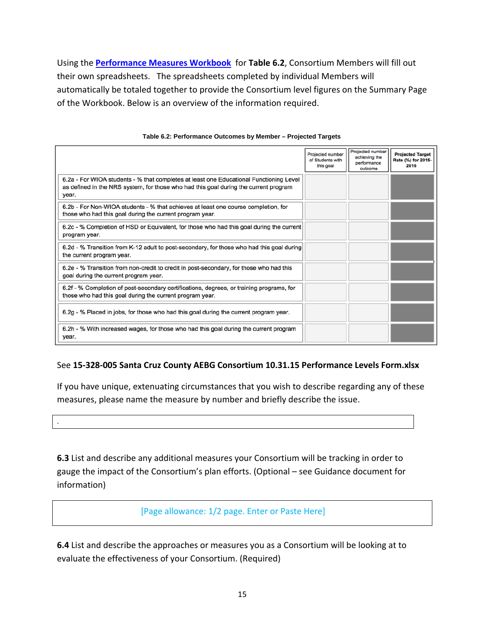Using the **Performance Measures Workbook** for **Table 6.2**, Consortium Members will fill out their own spreadsheets. The spreadsheets completed by individual Members will automatically be totaled together to provide the Consortium level figures on the Summary Page of the Workbook. Below is an overview of the information required.

|                                                                                                                                                                                         | Projected number<br>of Students with<br>this goal | Projected number<br>achieving the<br>performance<br>outcome | <b>Projected Target</b><br>Rate (%) for 2015-<br>2016 |
|-----------------------------------------------------------------------------------------------------------------------------------------------------------------------------------------|---------------------------------------------------|-------------------------------------------------------------|-------------------------------------------------------|
| 6.2a - For WIOA students - % that completes at least one Educational Functioning Level<br>as defined in the NRS system, for those who had this goal during the current program<br>year. |                                                   |                                                             |                                                       |
| 6.2b - For Non-WIOA students - % that achieves at least one course completion, for<br>those who had this goal during the current program year.                                          |                                                   |                                                             |                                                       |
| 6.2c - % Completion of HSD or Equivalent, for those who had this goal during the current<br>program year.                                                                               |                                                   |                                                             |                                                       |
| 6.2d - % Transition from K-12 adult to post-secondary, for those who had this goal during<br>the current program year.                                                                  |                                                   |                                                             |                                                       |
| 6.2e - % Transition from non-credit to credit in post-secondary, for those who had this<br>goal during the current program year.                                                        |                                                   |                                                             |                                                       |
| 6.2f - % Completion of post-secondary certifications, degrees, or training programs, for<br>those who had this goal during the current program year.                                    |                                                   |                                                             |                                                       |
| 6.2g - % Placed in jobs, for those who had this goal during the current program year.                                                                                                   |                                                   |                                                             |                                                       |
| 6.2h - % With increased wages, for those who had this goal during the current program<br>year.                                                                                          |                                                   |                                                             |                                                       |

#### **Table 6.2: Performance Outcomes by Member – Projected Targets**

### See **15‐328‐005 Santa Cruz County AEBG Consortium 10.31.15 Performance Levels Form.xlsx**

If you have unique, extenuating circumstances that you wish to describe regarding any of these measures, please name the measure by number and briefly describe the issue.

.

**6.3** List and describe any additional measures your Consortium will be tracking in order to gauge the impact of the Consortium's plan efforts. (Optional – see Guidance document for information)

### [Page allowance: 1/2 page. Enter or Paste Here]

**6.4** List and describe the approaches or measures you as a Consortium will be looking at to evaluate the effectiveness of your Consortium. (Required)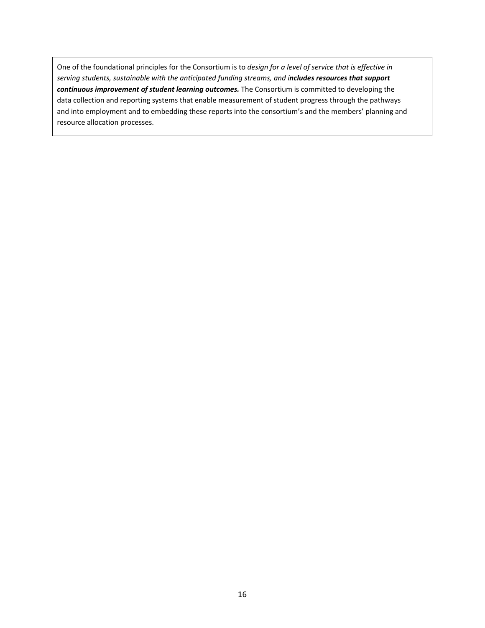One of the foundational principles for the Consortium is to *design for a level of service that is effective in serving students, sustainable with the anticipated funding streams, and includes resources that support continuous improvement of student learning outcomes.* The Consortium is committed to developing the data collection and reporting systems that enable measurement of student progress through the pathways and into employment and to embedding these reports into the consortium's and the members' planning and resource allocation processes.